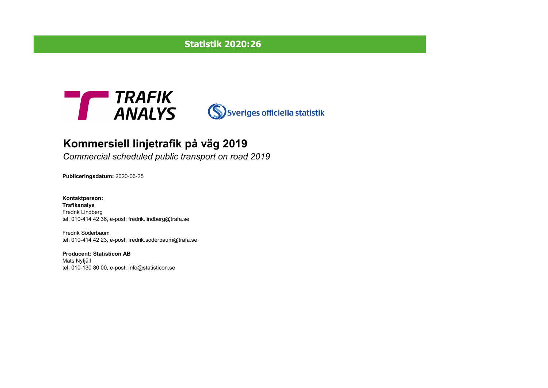## **Statistik 2020:26**





# **Kommersiell linjetrafik på väg 2019**

*Commercial scheduled public transport on road 2019*

**Publiceringsdatum:** 2020-06-25

**Kontaktperson: Trafikanalys** Fredrik Lindberg tel: 010-414 42 36, e-post: fredrik.lindberg@trafa.se

Fredrik Söderbaum tel: 010-414 42 23, e-post: fredrik.soderbaum@trafa.se

**Producent: Statisticon AB** Mats Nyfjäll tel: 010-130 80 00, e-post: info@statisticon.se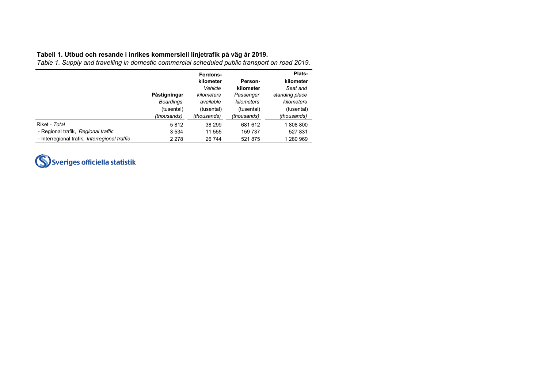### **Tabell 1. Utbud och resande i inrikes kommersiell linjetrafik på väg år 2019.**

*Table 1. Supply and travelling in domestic commercial scheduled public transport on road 2019.*

|                                               |                  | Fordons-    |             | Plats-         |
|-----------------------------------------------|------------------|-------------|-------------|----------------|
|                                               |                  | kilometer   | Person-     | kilometer      |
|                                               |                  | Vehicle     | kilometer   | Seat and       |
|                                               | Påstigningar     | kilometers  | Passenger   | standing place |
|                                               | <b>Boardings</b> | available   | kilometers  | kilometers     |
|                                               | (tusental)       | (tusental)  | (tusental)  | (tusental)     |
|                                               | (thousands)      | (thousands) | (thousands) | (thousands)    |
| Riket - Total                                 | 5812             | 38 299      | 681 612     | 1808800        |
| - Regional trafik, Regional traffic           | 3 5 3 4          | 11 555      | 159 737     | 527 831        |
| - Interregional trafik, Interregional traffic | 2 2 7 8          | 26 744      | 521 875     | 1 280 969      |

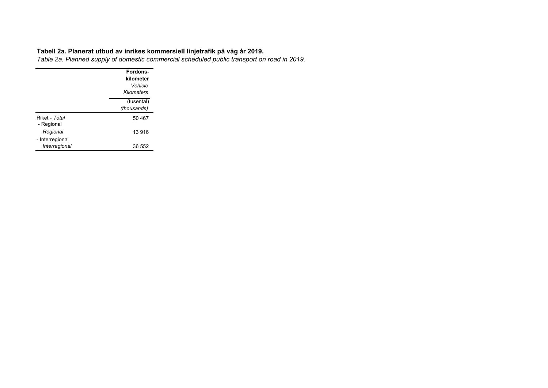#### **Tabell 2a. Planerat utbud av inrikes kommersiell linjetrafik på väg år 2019.**

*Table 2a. Planned supply of domestic commercial scheduled public transport on road in 2019.*

|                             | Fordons-<br>kilometer<br>Vehicle<br>Kilometers |
|-----------------------------|------------------------------------------------|
|                             | (tusental)<br>(thousands)                      |
| Riket - Total<br>- Regional | 50 467                                         |
| Regional                    | 13 916                                         |
| - Interregional             |                                                |
| Interregional               | 36 552                                         |